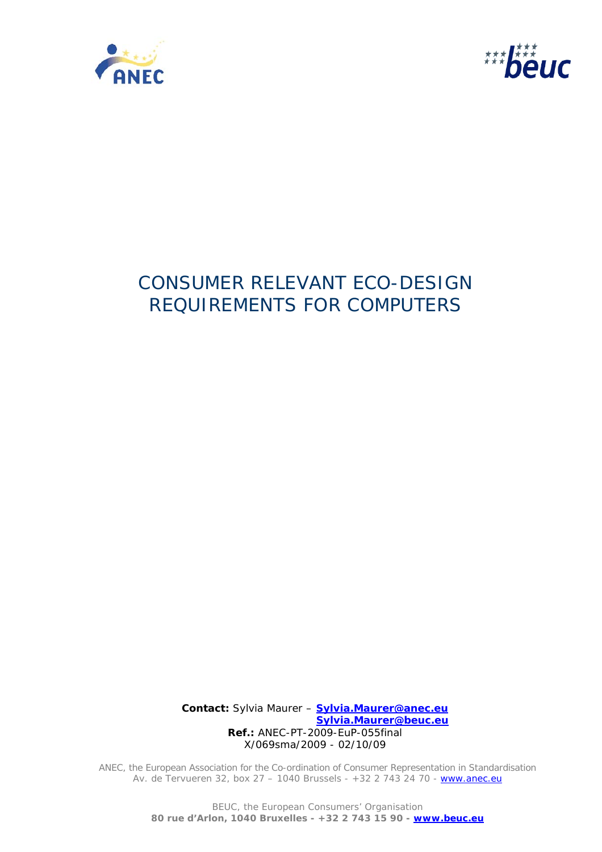



# CONSUMER RELEVANT ECO-DESIGN REQUIREMENTS FOR COMPUTERS

 **Contact:** Sylvia Maurer – **Sylvia.Maurer@anec.eu Sylvia.Maurer@beuc.eu Ref.:** ANEC-PT-2009-EuP-055final X/069sma/2009 - 02/10/09

ANEC, the European Association for the Co-ordination of Consumer Representation in Standardisation Av. de Tervueren 32, box 27 - 1040 Brussels - +32 2 743 24 70 - www.anec.eu

> BEUC, the European Consumers' Organisation **80 rue d'Arlon, 1040 Bruxelles - +32 2 743 15 90 - www.beuc.eu**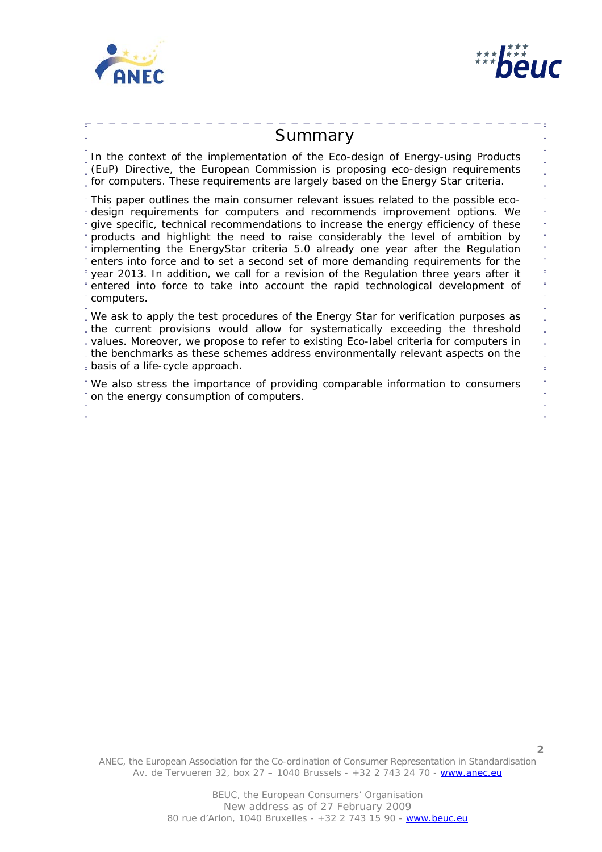



# Summary

In the context of the implementation of the Eco-design of Energy-using Products (EuP) Directive, the European Commission is proposing eco-design requirements for computers. These requirements are largely based on the Energy Star criteria.

This paper outlines the main consumer relevant issues related to the possible ecodesign requirements for computers and recommends improvement options. We F give specific, technical recommendations to increase the energy efficiency of these products and highlight the need to raise considerably the level of ambition by implementing the EnergyStar criteria 5.0 already one year after the Regulation enters into force and to set a second set of more demanding requirements for the year 2013. In addition, we call for a revision of the Regulation three years after it entered into force to take into account the rapid technological development of computers.

We ask to apply the test procedures of the Energy Star for verification purposes as the current provisions would allow for systematically exceeding the threshold values. Moreover, we propose to refer to existing Eco-label criteria for computers in the benchmarks as these schemes address environmentally relevant aspects on the basis of a life-cycle approach.

We also stress the importance of providing comparable information to consumers on the energy consumption of computers.

ANEC, the European Association for the Co-ordination of Consumer Representation in Standardisation Av. de Tervueren 32, box 27 – 1040 Brussels - +32 2 743 24 70 - www.anec.eu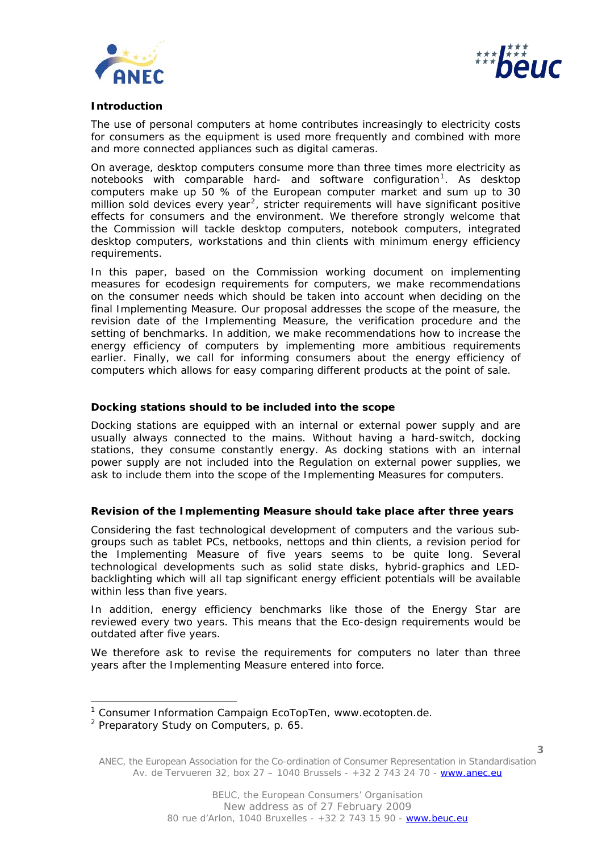



#### **Introduction**

The use of personal computers at home contributes increasingly to electricity costs for consumers as the equipment is used more frequently and combined with more and more connected appliances such as digital cameras.

On average, desktop computers consume more than three times more electricity as notebooks with comparable hard- and software configuration<sup>[1](#page-2-0)</sup>. As desktop computers make up 50 % of the European computer market and sum up to 30 million sold devices every year<sup>[2](#page-2-1)</sup>, stricter requirements will have significant positive effects for consumers and the environment. We therefore strongly welcome that the Commission will tackle desktop computers, notebook computers, integrated desktop computers, workstations and thin clients with minimum energy efficiency requirements.

In this paper, based on the Commission working document on implementing measures for ecodesign requirements for computers, we make recommendations on the consumer needs which should be taken into account when deciding on the final Implementing Measure. Our proposal addresses the scope of the measure, the revision date of the Implementing Measure, the verification procedure and the setting of benchmarks. In addition, we make recommendations how to increase the energy efficiency of computers by implementing more ambitious requirements earlier. Finally, we call for informing consumers about the energy efficiency of computers which allows for easy comparing different products at the point of sale.

#### **Docking stations should to be included into the scope**

Docking stations are equipped with an internal or external power supply and are usually always connected to the mains. Without having a hard-switch, docking stations, they consume constantly energy. As docking stations with an internal power supply are not included into the Regulation on external power supplies, we ask to include them into the scope of the Implementing Measures for computers.

# **Revision of the Implementing Measure should take place after three years**

Considering the fast technological development of computers and the various subgroups such as tablet PCs, netbooks, nettops and thin clients, a revision period for the Implementing Measure of five years seems to be quite long. Several technological developments such as solid state disks, hybrid-graphics and LEDbacklighting which will all tap significant energy efficient potentials will be available within less than five years.

In addition, energy efficiency benchmarks like those of the Energy Star are reviewed every two years. This means that the Eco-design requirements would be outdated after five years.

We therefore ask to revise the requirements for computers no later than three years after the Implementing Measure entered into force.

ł

<span id="page-2-0"></span><sup>&</sup>lt;sup>1</sup> Consumer Information Campaign EcoTopTen, www.ecotopten.de.

<span id="page-2-1"></span><sup>&</sup>lt;sup>2</sup> Preparatory Study on Computers, p. 65.

ANEC, the European Association for the Co-ordination of Consumer Representation in Standardisation Av. de Tervueren 32, box 27 – 1040 Brussels - +32 2 743 24 70 - www.anec.eu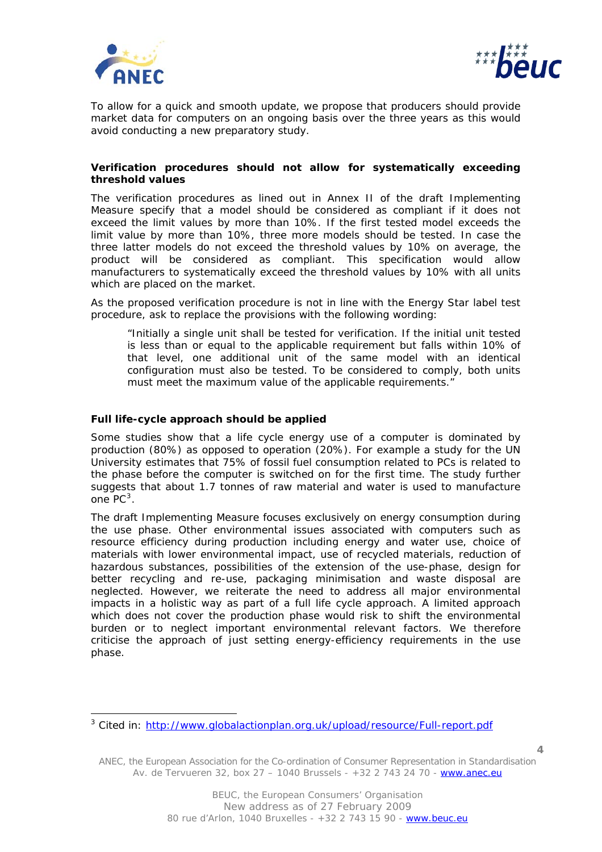

l



To allow for a quick and smooth update, we propose that producers should provide market data for computers on an ongoing basis over the three years as this would avoid conducting a new preparatory study.

# **Verification procedures should not allow for systematically exceeding threshold values**

The verification procedures as lined out in Annex II of the draft Implementing Measure specify that a model should be considered as compliant if it does not exceed the limit values by more than 10%. If the first tested model exceeds the limit value by more than 10%, three more models should be tested. In case the three latter models do not exceed the threshold values by 10% on average, the product will be considered as compliant. This specification would allow manufacturers to systematically exceed the threshold values by 10% with all units which are placed on the market.

As the proposed verification procedure is not in line with the Energy Star label test procedure, ask to replace the provisions with the following wording:

*"Initially a single unit shall be tested for verification. If the initial unit tested is less than or equal to the applicable requirement but falls within 10% of that level, one additional unit of the same model with an identical configuration must also be tested. To be considered to comply, both units must meet the maximum value of the applicable requirements."* 

# **Full life-cycle approach should be applied**

Some studies show that a life cycle energy use of a computer is dominated by production (80%) as opposed to operation (20%). For example a study for the UN University estimates that 75% of fossil fuel consumption related to PCs is related to the phase before the computer is switched on for the first time. The study further suggests that about 1.7 tonnes of raw material and water is used to manufacture one PC<sup>[3](#page-3-0)</sup>.

The draft Implementing Measure focuses exclusively on energy consumption during the use phase. Other environmental issues associated with computers such as resource efficiency during production including energy and water use, choice of materials with lower environmental impact, use of recycled materials, reduction of hazardous substances, possibilities of the extension of the use-phase, design for better recycling and re-use, packaging minimisation and waste disposal are neglected. However, we reiterate the need to address all major environmental impacts in a holistic way as part of a full life cycle approach. A limited approach which does not cover the production phase would risk to shift the environmental burden or to neglect important environmental relevant factors. We therefore criticise the approach of just setting energy-efficiency requirements in the use phase.

**4**

<span id="page-3-0"></span><sup>&</sup>lt;sup>3</sup> Cited in:<http://www.globalactionplan.org.uk/upload/resource/Full-report.pdf>

ANEC, the European Association for the Co-ordination of Consumer Representation in Standardisation Av. de Tervueren 32, box 27 – 1040 Brussels - +32 2 743 24 70 - www.anec.eu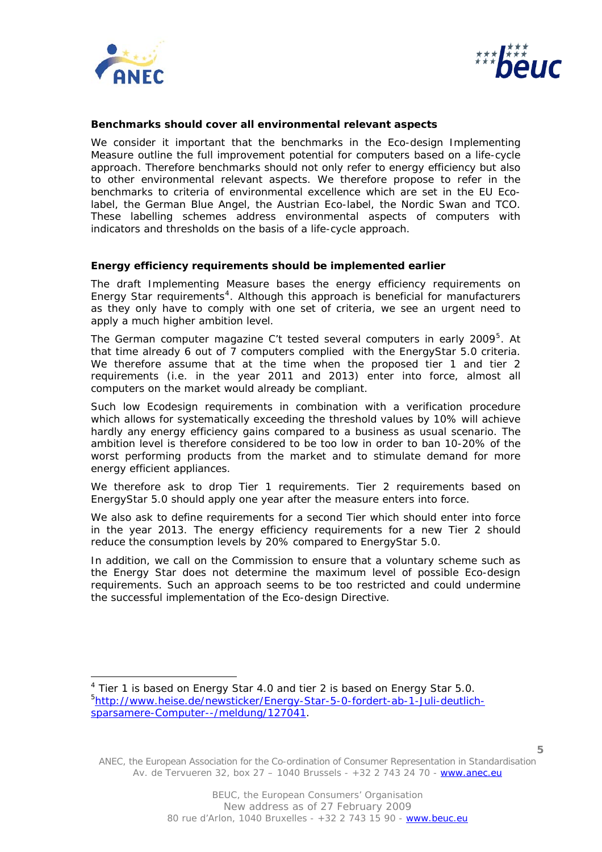

ł



#### **Benchmarks should cover all environmental relevant aspects**

We consider it important that the benchmarks in the Eco-design Implementing Measure outline the full improvement potential for computers based on a life-cycle approach. Therefore benchmarks should not only refer to energy efficiency but also to other environmental relevant aspects. We therefore propose to refer in the benchmarks to criteria of environmental excellence which are set in the EU Ecolabel, the German Blue Angel, the Austrian Eco-label, the Nordic Swan and TCO. These labelling schemes address environmental aspects of computers with indicators and thresholds on the basis of a life-cycle approach.

#### **Energy efficiency requirements should be implemented earlier**

The draft Implementing Measure bases the energy efficiency requirements on Energy Star requirements<sup>[4](#page-4-0)</sup>. Although this approach is beneficial for manufacturers as they only have to comply with one set of criteria, we see an urgent need to apply a much higher ambition level.

The German computer magazine C't tested several computers in early 2009[5](#page-4-1). At that time already 6 out of 7 computers complied with the EnergyStar 5.0 criteria. We therefore assume that at the time when the proposed tier 1 and tier 2 requirements (i.e. in the year 2011 and 2013) enter into force, almost all computers on the market would already be compliant.

Such low Ecodesign requirements in combination with a verification procedure which allows for systematically exceeding the threshold values by 10% will achieve hardly any energy efficiency gains compared to a business as usual scenario. The ambition level is therefore considered to be too low in order to ban 10-20% of the worst performing products from the market and to stimulate demand for more energy efficient appliances.

We therefore ask to drop Tier 1 requirements. Tier 2 requirements based on EnergyStar 5.0 should apply one year after the measure enters into force.

We also ask to define requirements for a second Tier which should enter into force in the year 2013. The energy efficiency requirements for a new Tier 2 should reduce the consumption levels by 20% compared to EnergyStar 5.0.

In addition, we call on the Commission to ensure that a voluntary scheme such as the Energy Star does not determine the maximum level of possible Eco-design requirements. Such an approach seems to be too restricted and could undermine the successful implementation of the Eco-design Directive.

ANEC, the European Association for the Co-ordination of Consumer Representation in Standardisation Av. de Tervueren 32, box 27 – 1040 Brussels - +32 2 743 24 70 - www.anec.eu

<span id="page-4-1"></span><span id="page-4-0"></span><sup>&</sup>lt;sup>4</sup> Tier 1 is based on Energy Star 4.0 and tier 2 is based on Energy Star 5.0. 5 [http://www.heise.de/newsticker/Energy-Star-5-0-fordert-ab-1-Juli-deutlich](http://www.heise.de/newsticker/Energy-Star-5-0-fordert-ab-1-Juli-deutlich-sparsamere-Computer--/meldung/127041)[sparsamere-Computer--/meldung/127041.](http://www.heise.de/newsticker/Energy-Star-5-0-fordert-ab-1-Juli-deutlich-sparsamere-Computer--/meldung/127041)